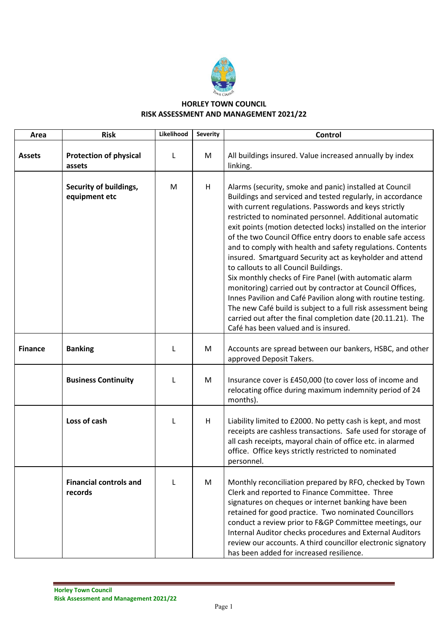

## **HORLEY TOWN COUNCIL RISK ASSESSMENT AND MANAGEMENT 2021/22**

| Area           | <b>Risk</b>                              | Likelihood | <b>Severity</b> | Control                                                                                                                                                                                                                                                                                                                                                                                                                                                                                                                                                                                                                                                                                                                                                                                                                                                                                                     |
|----------------|------------------------------------------|------------|-----------------|-------------------------------------------------------------------------------------------------------------------------------------------------------------------------------------------------------------------------------------------------------------------------------------------------------------------------------------------------------------------------------------------------------------------------------------------------------------------------------------------------------------------------------------------------------------------------------------------------------------------------------------------------------------------------------------------------------------------------------------------------------------------------------------------------------------------------------------------------------------------------------------------------------------|
| <b>Assets</b>  | <b>Protection of physical</b><br>assets  | L          | M               | All buildings insured. Value increased annually by index<br>linking.                                                                                                                                                                                                                                                                                                                                                                                                                                                                                                                                                                                                                                                                                                                                                                                                                                        |
|                | Security of buildings,<br>equipment etc  | M          | H               | Alarms (security, smoke and panic) installed at Council<br>Buildings and serviced and tested regularly, in accordance<br>with current regulations. Passwords and keys strictly<br>restricted to nominated personnel. Additional automatic<br>exit points (motion detected locks) installed on the interior<br>of the two Council Office entry doors to enable safe access<br>and to comply with health and safety regulations. Contents<br>insured. Smartguard Security act as keyholder and attend<br>to callouts to all Council Buildings.<br>Six monthly checks of Fire Panel (with automatic alarm<br>monitoring) carried out by contractor at Council Offices,<br>Innes Pavilion and Café Pavilion along with routine testing.<br>The new Café build is subject to a full risk assessment being<br>carried out after the final completion date (20.11.21). The<br>Café has been valued and is insured. |
| <b>Finance</b> | <b>Banking</b>                           | L          | M               | Accounts are spread between our bankers, HSBC, and other<br>approved Deposit Takers.                                                                                                                                                                                                                                                                                                                                                                                                                                                                                                                                                                                                                                                                                                                                                                                                                        |
|                | <b>Business Continuity</b>               | L          | M               | Insurance cover is £450,000 (to cover loss of income and<br>relocating office during maximum indemnity period of 24<br>months).                                                                                                                                                                                                                                                                                                                                                                                                                                                                                                                                                                                                                                                                                                                                                                             |
|                | Loss of cash                             | L          | H               | Liability limited to £2000. No petty cash is kept, and most<br>receipts are cashless transactions. Safe used for storage of<br>all cash receipts, mayoral chain of office etc. in alarmed<br>office. Office keys strictly restricted to nominated<br>personnel.                                                                                                                                                                                                                                                                                                                                                                                                                                                                                                                                                                                                                                             |
|                | <b>Financial controls and</b><br>records | L          | M               | Monthly reconciliation prepared by RFO, checked by Town<br>Clerk and reported to Finance Committee. Three<br>signatures on cheques or internet banking have been<br>retained for good practice. Two nominated Councillors<br>conduct a review prior to F&GP Committee meetings, our<br>Internal Auditor checks procedures and External Auditors<br>review our accounts. A third councillor electronic signatory<br>has been added for increased resilience.                                                                                                                                                                                                                                                                                                                                                                                                                                                 |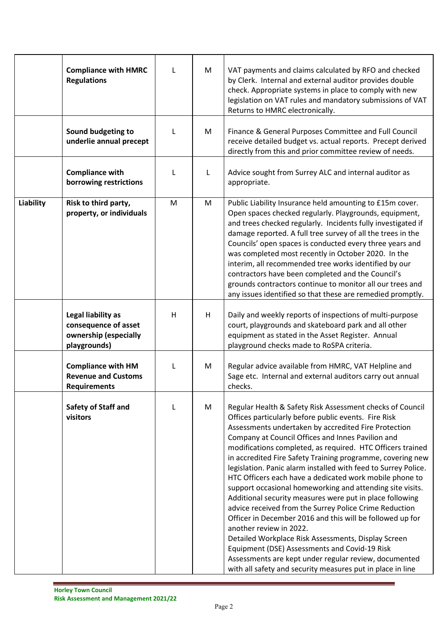|           | <b>Compliance with HMRC</b><br><b>Regulations</b>                                   | L            | M | VAT payments and claims calculated by RFO and checked<br>by Clerk. Internal and external auditor provides double<br>check. Appropriate systems in place to comply with new<br>legislation on VAT rules and mandatory submissions of VAT<br>Returns to HMRC electronically.                                                                                                                                                                                                                                                                                                                                                                                                                                                                                                                                                                                                                                                                                                                        |
|-----------|-------------------------------------------------------------------------------------|--------------|---|---------------------------------------------------------------------------------------------------------------------------------------------------------------------------------------------------------------------------------------------------------------------------------------------------------------------------------------------------------------------------------------------------------------------------------------------------------------------------------------------------------------------------------------------------------------------------------------------------------------------------------------------------------------------------------------------------------------------------------------------------------------------------------------------------------------------------------------------------------------------------------------------------------------------------------------------------------------------------------------------------|
|           | Sound budgeting to<br>underlie annual precept                                       | $\mathsf{L}$ | M | Finance & General Purposes Committee and Full Council<br>receive detailed budget vs. actual reports. Precept derived<br>directly from this and prior committee review of needs.                                                                                                                                                                                                                                                                                                                                                                                                                                                                                                                                                                                                                                                                                                                                                                                                                   |
|           | <b>Compliance with</b><br>borrowing restrictions                                    | L            | L | Advice sought from Surrey ALC and internal auditor as<br>appropriate.                                                                                                                                                                                                                                                                                                                                                                                                                                                                                                                                                                                                                                                                                                                                                                                                                                                                                                                             |
| Liability | Risk to third party,<br>property, or individuals                                    | M            | M | Public Liability Insurance held amounting to £15m cover.<br>Open spaces checked regularly. Playgrounds, equipment,<br>and trees checked regularly. Incidents fully investigated if<br>damage reported. A full tree survey of all the trees in the<br>Councils' open spaces is conducted every three years and<br>was completed most recently in October 2020. In the<br>interim, all recommended tree works identified by our<br>contractors have been completed and the Council's<br>grounds contractors continue to monitor all our trees and<br>any issues identified so that these are remedied promptly.                                                                                                                                                                                                                                                                                                                                                                                     |
|           | Legal liability as<br>consequence of asset<br>ownership (especially<br>playgrounds) | H            | H | Daily and weekly reports of inspections of multi-purpose<br>court, playgrounds and skateboard park and all other<br>equipment as stated in the Asset Register. Annual<br>playground checks made to RoSPA criteria.                                                                                                                                                                                                                                                                                                                                                                                                                                                                                                                                                                                                                                                                                                                                                                                |
|           | <b>Compliance with HM</b><br><b>Revenue and Customs</b><br><b>Requirements</b>      | L            | M | Regular advice available from HMRC, VAT Helpline and<br>Sage etc. Internal and external auditors carry out annual<br>checks.                                                                                                                                                                                                                                                                                                                                                                                                                                                                                                                                                                                                                                                                                                                                                                                                                                                                      |
|           | Safety of Staff and<br>visitors                                                     | L            | M | Regular Health & Safety Risk Assessment checks of Council<br>Offices particularly before public events. Fire Risk<br>Assessments undertaken by accredited Fire Protection<br>Company at Council Offices and Innes Pavilion and<br>modifications completed, as required. HTC Officers trained<br>in accredited Fire Safety Training programme, covering new<br>legislation. Panic alarm installed with feed to Surrey Police.<br>HTC Officers each have a dedicated work mobile phone to<br>support occasional homeworking and attending site visits.<br>Additional security measures were put in place following<br>advice received from the Surrey Police Crime Reduction<br>Officer in December 2016 and this will be followed up for<br>another review in 2022.<br>Detailed Workplace Risk Assessments, Display Screen<br>Equipment (DSE) Assessments and Covid-19 Risk<br>Assessments are kept under regular review, documented<br>with all safety and security measures put in place in line |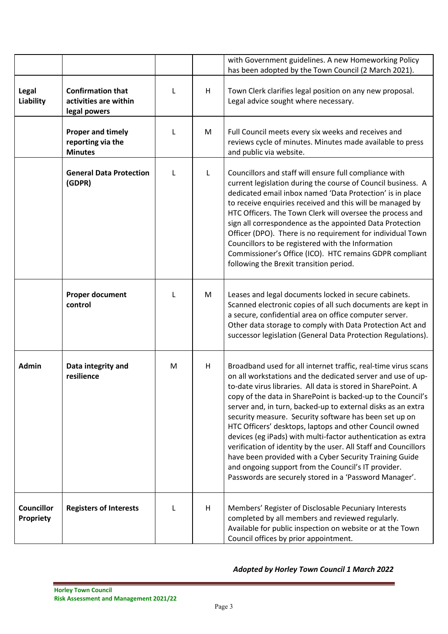|                                |                                                                   |   |   | with Government guidelines. A new Homeworking Policy<br>has been adopted by the Town Council (2 March 2021).                                                                                                                                                                                                                                                                                                                                                                                                                                                                                                                                                                                                                                                      |
|--------------------------------|-------------------------------------------------------------------|---|---|-------------------------------------------------------------------------------------------------------------------------------------------------------------------------------------------------------------------------------------------------------------------------------------------------------------------------------------------------------------------------------------------------------------------------------------------------------------------------------------------------------------------------------------------------------------------------------------------------------------------------------------------------------------------------------------------------------------------------------------------------------------------|
| Legal<br>Liability             | <b>Confirmation that</b><br>activities are within<br>legal powers | L | H | Town Clerk clarifies legal position on any new proposal.<br>Legal advice sought where necessary.                                                                                                                                                                                                                                                                                                                                                                                                                                                                                                                                                                                                                                                                  |
|                                | <b>Proper and timely</b><br>reporting via the<br><b>Minutes</b>   | L | M | Full Council meets every six weeks and receives and<br>reviews cycle of minutes. Minutes made available to press<br>and public via website.                                                                                                                                                                                                                                                                                                                                                                                                                                                                                                                                                                                                                       |
|                                | <b>General Data Protection</b><br>(GDPR)                          | L | L | Councillors and staff will ensure full compliance with<br>current legislation during the course of Council business. A<br>dedicated email inbox named 'Data Protection' is in place<br>to receive enquiries received and this will be managed by<br>HTC Officers. The Town Clerk will oversee the process and<br>sign all correspondence as the appointed Data Protection<br>Officer (DPO). There is no requirement for individual Town<br>Councillors to be registered with the Information<br>Commissioner's Office (ICO). HTC remains GDPR compliant<br>following the Brexit transition period.                                                                                                                                                                |
|                                | <b>Proper document</b><br>control                                 | L | M | Leases and legal documents locked in secure cabinets.<br>Scanned electronic copies of all such documents are kept in<br>a secure, confidential area on office computer server.<br>Other data storage to comply with Data Protection Act and<br>successor legislation (General Data Protection Regulations).                                                                                                                                                                                                                                                                                                                                                                                                                                                       |
| Admin                          | Data integrity and<br>resilience                                  | M | H | Broadband used for all internet traffic, real-time virus scans<br>on all workstations and the dedicated server and use of up-<br>to-date virus libraries. All data is stored in SharePoint. A<br>copy of the data in SharePoint is backed-up to the Council's<br>server and, in turn, backed-up to external disks as an extra<br>security measure. Security software has been set up on<br>HTC Officers' desktops, laptops and other Council owned<br>devices (eg iPads) with multi-factor authentication as extra<br>verification of identity by the user. All Staff and Councillors<br>have been provided with a Cyber Security Training Guide<br>and ongoing support from the Council's IT provider.<br>Passwords are securely stored in a 'Password Manager'. |
| <b>Councillor</b><br>Propriety | <b>Registers of Interests</b>                                     | L | H | Members' Register of Disclosable Pecuniary Interests<br>completed by all members and reviewed regularly.<br>Available for public inspection on website or at the Town<br>Council offices by prior appointment.                                                                                                                                                                                                                                                                                                                                                                                                                                                                                                                                                    |

## *Adopted by Horley Town Council 1 March 2022*